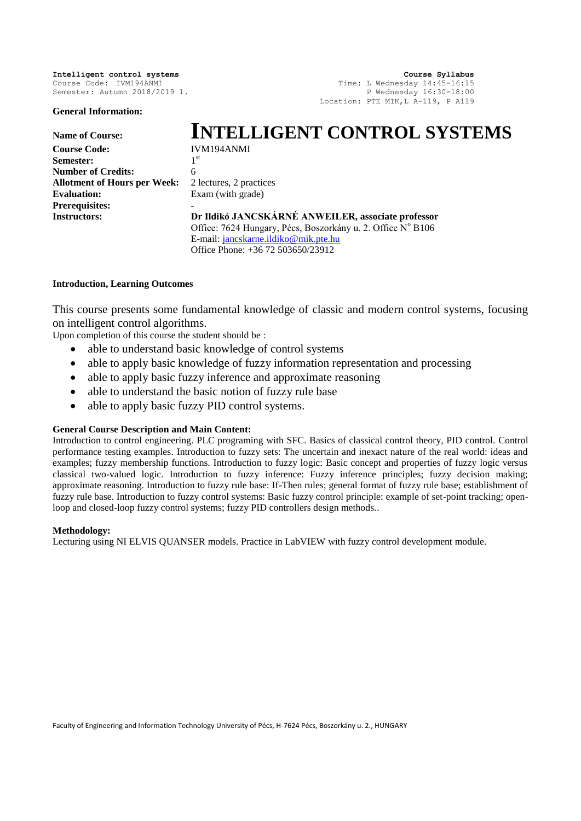**General Information:**

**Intelligent control systems Course Syllabus Course Syllabus Course Syllabus Course Syllabus Course Syllabus Course Syllabus Course Syllabus Course Syllabus Course Syllabus Course Syllabus Course Syll** Course Code: IVM194ANMI The Source Code: 1999 Time: L Wednesday 14:45-16:15 Semester: Autumn 2018/2019 1. P Wednesday 16:30-18:00 Location: PTE MIK,L A-119, P A119

| <b>Name of Course:</b>              | <b>INTELLIGENT CONTROL SYSTEMS</b>                                                                                |
|-------------------------------------|-------------------------------------------------------------------------------------------------------------------|
| <b>Course Code:</b>                 | <b>IVM194ANMI</b>                                                                                                 |
| Semester:                           | 1 <sup>st</sup>                                                                                                   |
| <b>Number of Credits:</b>           | 6                                                                                                                 |
| <b>Allotment of Hours per Week:</b> | 2 lectures, 2 practices                                                                                           |
| <b>Evaluation:</b>                  | Exam (with grade)                                                                                                 |
| <b>Prerequisites:</b>               |                                                                                                                   |
| <b>Instructors:</b>                 | Dr Ildikó JANCSKÁRNÉ ANWEILER, associate professor<br>Office: 7624 Hungary, Pécs, Boszorkány u. 2. Office N° B106 |
|                                     | E-mail: jancskarne.ildiko@mik.pte.hu<br>Office Phone: +36 72 503650/23912                                         |

# **Introduction, Learning Outcomes**

This course presents some fundamental knowledge of classic and modern control systems, focusing on intelligent control algorithms.

Upon completion of this course the student should be :

- able to understand basic knowledge of control systems
- able to apply basic knowledge of fuzzy information representation and processing
- able to apply basic fuzzy inference and approximate reasoning
- able to understand the basic notion of fuzzy rule base
- able to apply basic fuzzy PID control systems.

# **General Course Description and Main Content:**

Introduction to control engineering. PLC programing with SFC. Basics of classical control theory, PID control. Control performance testing examples. Introduction to fuzzy sets: The uncertain and inexact nature of the real world: ideas and examples; fuzzy membership functions. Introduction to fuzzy logic: Basic concept and properties of fuzzy logic versus classical two-valued logic. Introduction to fuzzy inference: Fuzzy inference principles; fuzzy decision making; approximate reasoning. Introduction to fuzzy rule base: If-Then rules; general format of fuzzy rule base; establishment of fuzzy rule base. Introduction to fuzzy control systems: Basic fuzzy control principle: example of set-point tracking; openloop and closed-loop fuzzy control systems; fuzzy PID controllers design methods..

## **Methodology:**

Lecturing using NI ELVIS QUANSER models. Practice in LabVIEW with fuzzy control development module.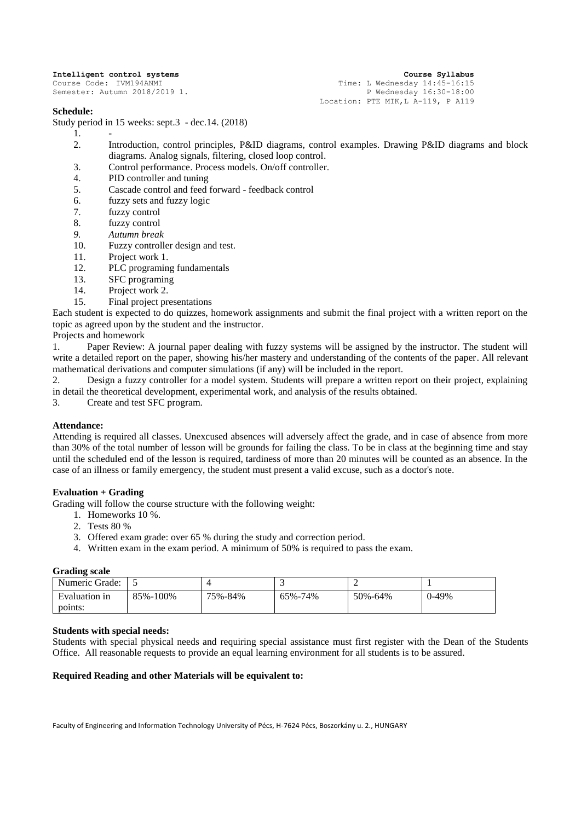# **Schedule:**

Study period in 15 weeks: sept.3 - dec.14. (2018)

- 1. -
- 2. Introduction, control principles, P&ID diagrams, control examples. Drawing P&ID diagrams and block diagrams. Analog signals, filtering, closed loop control.
- 3. Control performance. Process models. On/off controller.
- 4. PID controller and tuning
- 5. Cascade control and feed forward feedback control
- 6. fuzzy sets and fuzzy logic
- 7. fuzzy control
- 8. fuzzy control
- *9. Autumn break*
- 10. Fuzzy controller design and test.
- 11. Project work 1.
- 12. PLC programing fundamentals
- 13. SFC programing
- 14. Project work 2.
- 15. Final project presentations

Each student is expected to do quizzes, homework assignments and submit the final project with a written report on the topic as agreed upon by the student and the instructor.

Projects and homework

1. Paper Review: A journal paper dealing with fuzzy systems will be assigned by the instructor. The student will write a detailed report on the paper, showing his/her mastery and understanding of the contents of the paper. All relevant mathematical derivations and computer simulations (if any) will be included in the report.

2. Design a fuzzy controller for a model system. Students will prepare a written report on their project, explaining in detail the theoretical development, experimental work, and analysis of the results obtained.

3. Create and test SFC program.

# **Attendance:**

Attending is required all classes. Unexcused absences will adversely affect the grade, and in case of absence from more than 30% of the total number of lesson will be grounds for failing the class. To be in class at the beginning time and stay until the scheduled end of the lesson is required, tardiness of more than 20 minutes will be counted as an absence. In the case of an illness or family emergency, the student must present a valid excuse, such as a doctor's note.

# **Evaluation + Grading**

Grading will follow the course structure with the following weight:

- 1. Homeworks 10 %.
- 2. Tests 80 %
- 3. Offered exam grade: over 65 % during the study and correction period.
- 4. Written exam in the exam period. A minimum of 50% is required to pass the exam.

## **Grading scale**

| Numeric Grade: |          |         |         |         |       |
|----------------|----------|---------|---------|---------|-------|
| Evaluation in  | 85%-100% | 75%-84% | 65%-74% | 50%-64% | 0-49% |
| points:        |          |         |         |         |       |

## **Students with special needs:**

Students with special physical needs and requiring special assistance must first register with the Dean of the Students Office. All reasonable requests to provide an equal learning environment for all students is to be assured.

## **Required Reading and other Materials will be equivalent to:**

Faculty of Engineering and Information Technology University of Pécs, H-7624 Pécs, Boszorkány u. 2., HUNGARY

**Intelligent control systems Course Syllabus** Course Code: IVM194ANMI The Source Code: 1999 Time: L Wednesday 14:45-16:15 Semester: Autumn 2018/2019 1. P Wednesday 16:30-18:00 Location: PTE MIK,L A-119, P A119